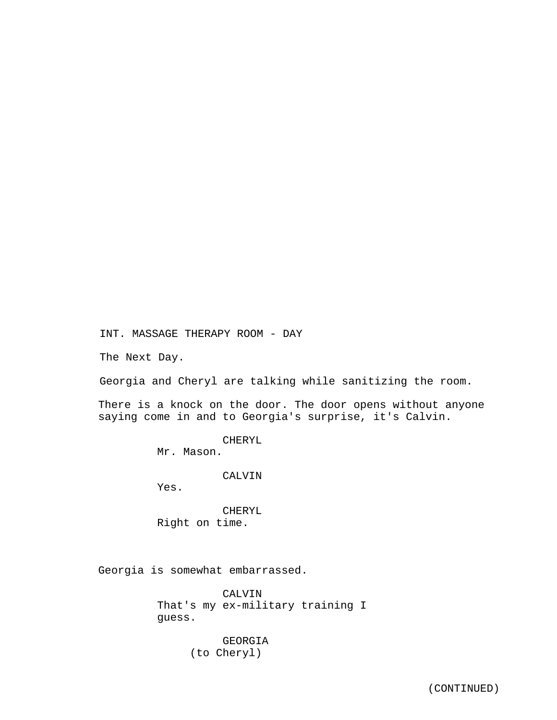INT. MASSAGE THERAPY ROOM - DAY

The Next Day.

Georgia and Cheryl are talking while sanitizing the room.

There is a knock on the door. The door opens without anyone saying come in and to Georgia's surprise, it's Calvin.

> CHERYL Mr. Mason.

> > CALVIN

Yes.

CHERYL Right on time.

Georgia is somewhat embarrassed.

CALVIN That's my ex-military training I guess.

> GEORGIA (to Cheryl)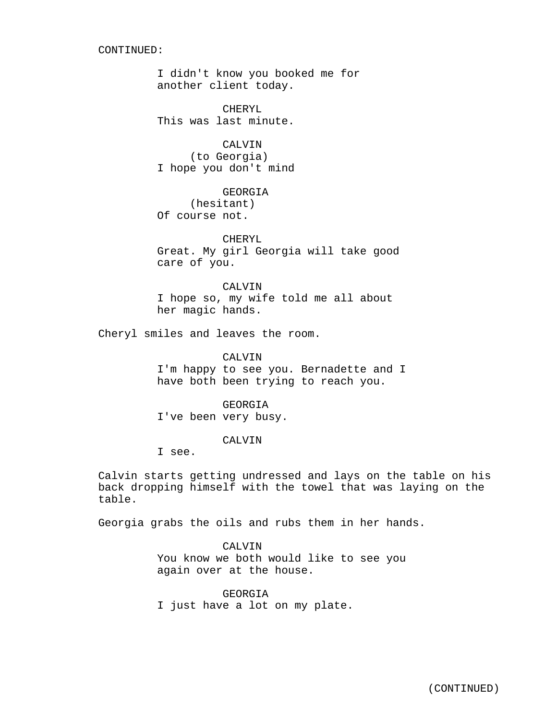#### CONTINUED:

I didn't know you booked me for another client today.

CHERYL This was last minute.

CALVIN (to Georgia) I hope you don't mind

GEORGIA (hesitant) Of course not.

CHERYL Great. My girl Georgia will take good care of you.

CALVIN I hope so, my wife told me all about her magic hands.

Cheryl smiles and leaves the room.

CALVIN

I'm happy to see you. Bernadette and I have both been trying to reach you.

GEORGIA I've been very busy.

## CALVIN

I see.

Calvin starts getting undressed and lays on the table on his back dropping himself with the towel that was laying on the table.

Georgia grabs the oils and rubs them in her hands.

CALVIN You know we both would like to see you again over at the house.

GEORGIA I just have a lot on my plate.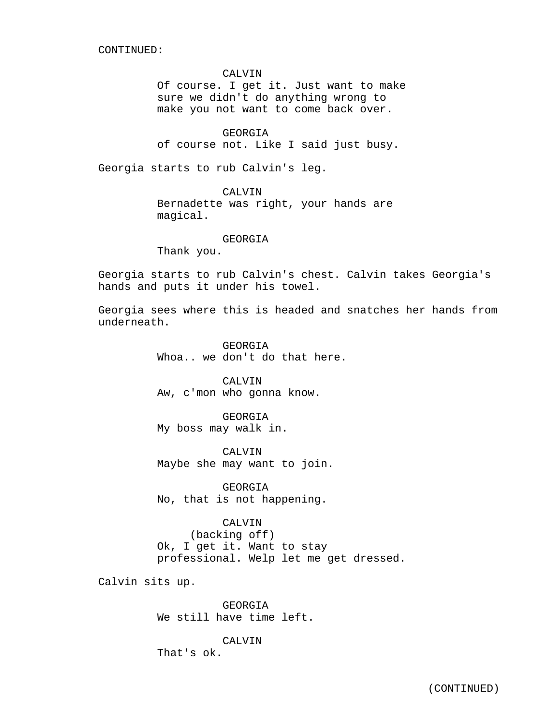CONTINUED:

#### CALVIN

Of course. I get it. Just want to make sure we didn't do anything wrong to make you not want to come back over.

GEORGIA

of course not. Like I said just busy.

Georgia starts to rub Calvin's leg.

CALVIN

Bernadette was right, your hands are magical.

### GEORGIA

Thank you.

Georgia starts to rub Calvin's chest. Calvin takes Georgia's hands and puts it under his towel.

Georgia sees where this is headed and snatches her hands from underneath.

> GEORGIA Whoa.. we don't do that here.

CALVIN Aw, c'mon who gonna know.

GEORGIA My boss may walk in.

CALVIN Maybe she may want to join.

GEORGIA No, that is not happening.

CALVIN

(backing off) Ok, I get it. Want to stay professional. Welp let me get dressed.

Calvin sits up.

GEORGIA We still have time left.

#### CALVIN

That's ok.